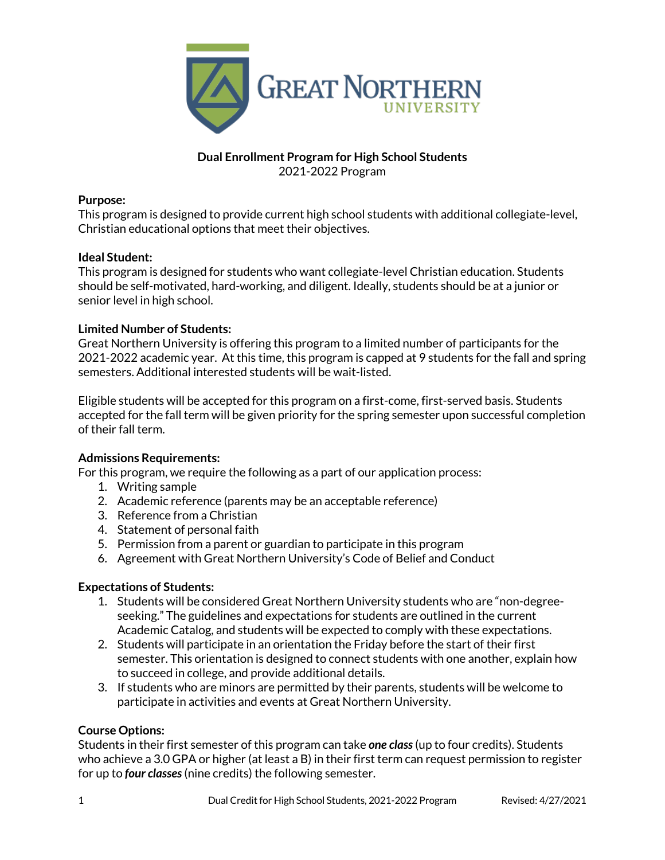

# **Dual Enrollment Program for High School Students** 2021-2022 Program

## **Purpose:**

This program is designed to provide current high school students with additional collegiate-level, Christian educational options that meet their objectives.

# **Ideal Student:**

This program is designed for students who want collegiate-level Christian education. Students should be self-motivated, hard-working, and diligent. Ideally, students should be at a junior or senior level in high school.

# **Limited Number of Students:**

Great Northern University is offering this program to a limited number of participants for the 2021-2022 academic year. At this time, this program is capped at 9 students for the fall and spring semesters. Additional interested students will be wait-listed.

Eligible students will be accepted for this program on a first-come, first-served basis. Students accepted for the fall term will be given priority for the spring semester upon successful completion of their fall term.

## **Admissions Requirements:**

For this program, we require the following as a part of our application process:

- 1. Writing sample
- 2. Academic reference (parents may be an acceptable reference)
- 3. Reference from a Christian
- 4. Statement of personal faith
- 5. Permission from a parent or guardian to participate in this program
- 6. Agreement with Great Northern University's Code of Belief and Conduct

# **Expectations of Students:**

- 1. Students will be considered Great Northern University students who are "non-degreeseeking." The guidelines and expectations for students are outlined in the current Academic Catalog, and students will be expected to comply with these expectations.
- 2. Students will participate in an orientation the Friday before the start of their first semester. This orientation is designed to connect students with one another, explain how to succeed in college, and provide additional details.
- 3. If students who are minors are permitted by their parents, students will be welcome to participate in activities and events at Great Northern University.

## **Course Options:**

Students in their first semester of this program can take *one class*(up to four credits). Students who achieve a 3.0 GPA or higher (at least a B) in their first term can request permission to register for up to *four classes*(nine credits) the following semester.